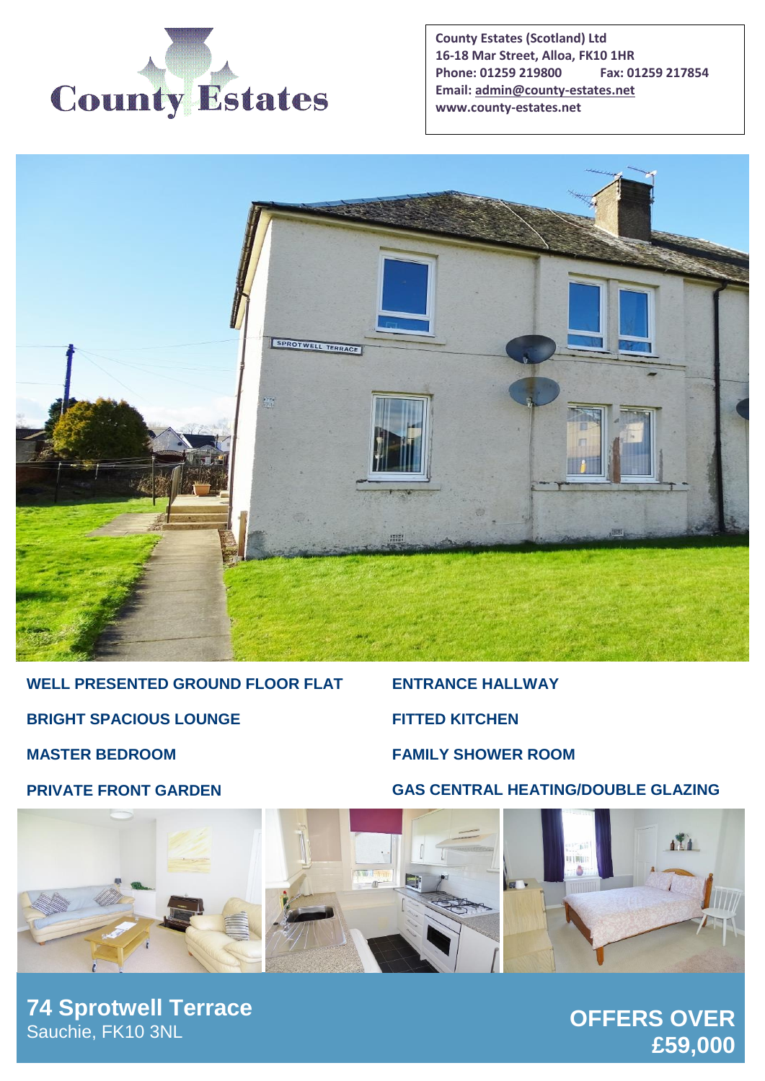

**County Estates (Scotland) Ltd 16-18 Mar Street, Alloa, FK10 1HR Phone: 01259 219800 Fax: 01259 217854 Email[: admin@county-estates.net](mailto:admin@county-estates.net) www.county-estates.net**



**WELL PRESENTED GROUND FLOOR FLAT BRIGHT SPACIOUS LOUNGE MASTER BEDROOM**

**ENTRANCE HALLWAY FITTED KITCHEN FAMILY SHOWER ROOM**

**GAS CENTRAL HEATING/DOUBLE GLAZING**

**PRIVATE FRONT GARDEN**



**74 Sprotwell Terrace** Sauchie, FK10 3NL

# **OFFERS OVER £59,000**